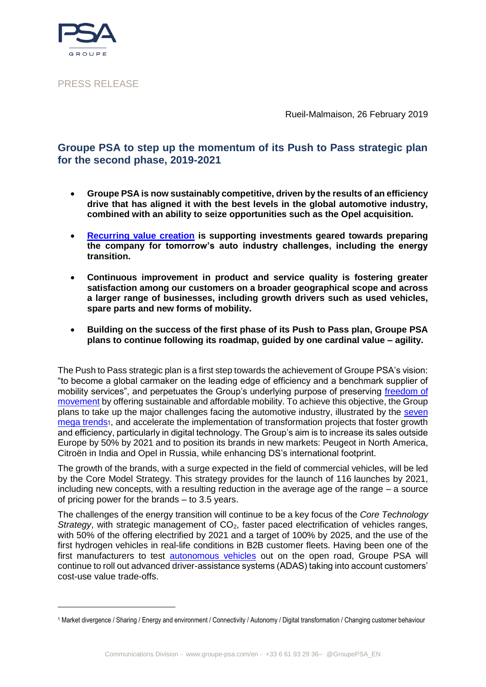

<u>.</u>

PRESS RELEASE

Rueil-Malmaison, 26 February 2019

## **Groupe PSA to step up the momentum of its Push to Pass strategic plan for the second phase, 2019-2021**

- **Groupe PSA is now sustainably competitive, driven by the results of an efficiency drive that has aligned it with the best levels in the global automotive industry, combined with an ability to seize opportunities such as the Opel acquisition.**
- **Recurring [value creation](https://www.groupe-psa.com/en/automotive-group/groupe-psa-creator-shared-sustainable-value/) is supporting investments geared towards preparing the company for tomorrow's auto industry challenges, including the energy transition.**
- **Continuous improvement in product and service quality is fostering greater satisfaction among our customers on a broader geographical scope and across a larger range of businesses, including growth drivers such as used vehicles, spare parts and new forms of mobility.**
- **Building on the success of the first phase of its Push to Pass plan, Groupe PSA plans to continue following its roadmap, guided by one cardinal value – agility.**

The Push to Pass strategic plan is a first step towards the achievement of Groupe PSA's vision: "to become a global carmaker on the leading edge of efficiency and a benchmark supplier of mobility services", and perpetuates the Group's underlying purpose of preserving freedom of [movement](https://www.groupe-psa.com/en/story/la-liberte-de-mouvement/) by offering sustainable and affordable mobility. To achieve this objective, the Group plans to take up the major challenges facing the automotive industry, illustrated by the [seven](https://www.groupe-psa.com/en/story/7-grandes-tendances-vont-faconner-notre-avenir/)  [mega trends](https://www.groupe-psa.com/en/story/7-grandes-tendances-vont-faconner-notre-avenir/)1, and accelerate the implementation of transformation projects that foster growth and efficiency, particularly in digital technology. The Group's aim is to increase its sales outside Europe by 50% by 2021 and to position its brands in new markets: Peugeot in North America, Citroën in India and Opel in Russia, while enhancing DS's international footprint.

The growth of the brands, with a surge expected in the field of commercial vehicles, will be led by the Core Model Strategy. This strategy provides for the launch of 116 launches by 2021, including new concepts, with a resulting reduction in the average age of the range – a source of pricing power for the brands – to 3.5 years.

The challenges of the energy transition will continue to be a key focus of the *Core Technology Strategy*, with strategic management of CO<sub>2</sub>, faster paced electrification of vehicles ranges, with 50% of the offering electrified by 2021 and a target of 100% by 2025, and the use of the first hydrogen vehicles in real-life conditions in B2B customer fleets. Having been one of the first manufacturers to test [autonomous vehicles](https://www.groupe-psa.com/en/newsroom/corporate-en/progress-report-autonomous-vehicle/) out on the open road, Groupe PSA will continue to roll out advanced driver-assistance systems (ADAS) taking into account customers' cost-use value trade-offs.

<sup>1</sup> Market divergence / Sharing / Energy and environment / Connectivity / Autonomy / Digital transformation / Changing customer behaviour